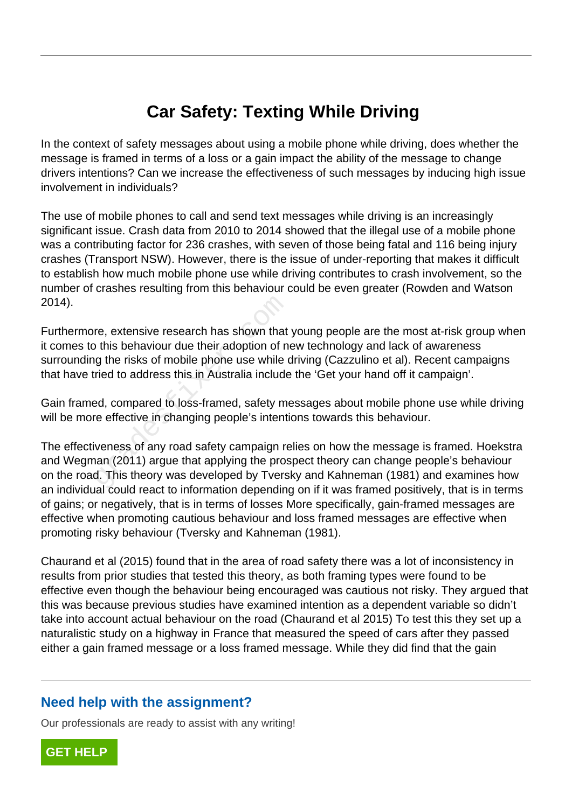## **Car Safety: Texting While Driving**

In the context of safety messages about using a mobile phone while driving, does whether the message is framed in terms of a loss or a gain impact the ability of the message to change drivers intentions? Can we increase the effectiveness of such messages by inducing high issue involvement in individuals?

The use of mobile phones to call and send text messages while driving is an increasingly significant issue. Crash data from 2010 to 2014 showed that the illegal use of a mobile phone was a contributing factor for 236 crashes, with seven of those being fatal and 116 being injury crashes (Transport NSW). However, there is the issue of under-reporting that makes it difficult to establish how much mobile phone use while driving contributes to crash involvement, so the number of crashes resulting from this behaviour could be even greater (Rowden and Watson 2014).

Furthermore, extensive research has shown that young people are the most at-risk group when it comes to this behaviour due their adoption of new technology and lack of awareness surrounding the risks of mobile phone use while driving (Cazzulino et al). Recent campaigns that have tried to address this in Australia include the 'Get your hand off it campaign'. re, extensive research has shown that<br>o this behaviour due their adoption of n<br>g the risks of mobile phone use while aried to address this in Australia include<br>ed, compared to loss-framed, safety mare effective in changing

Gain framed, compared to loss-framed, safety messages about mobile phone use while driving will be more effective in changing people's intentions towards this behaviour.

The effectiveness of any road safety campaign relies on how the message is framed. Hoekstra and Wegman (2011) argue that applying the prospect theory can change people's behaviour on the road. This theory was developed by Tversky and Kahneman (1981) and examines how an individual could react to information depending on if it was framed positively, that is in terms of gains; or negatively, that is in terms of losses More specifically, gain-framed messages are effective when promoting cautious behaviour and loss framed messages are effective when promoting risky behaviour (Tversky and Kahneman (1981).

Chaurand et al (2015) found that in the area of road safety there was a lot of inconsistency in results from prior studies that tested this theory, as both framing types were found to be effective even though the behaviour being encouraged was cautious not risky. They argued that this was because previous studies have examined intention as a dependent variable so didn't take into account actual behaviour on the road (Chaurand et al 2015) To test this they set up a naturalistic study on a highway in France that measured the speed of cars after they passed either a gain framed message or a loss framed message. While they did find that the gain

## **Need help with the assignment?**

Our professionals are ready to assist with any writing!